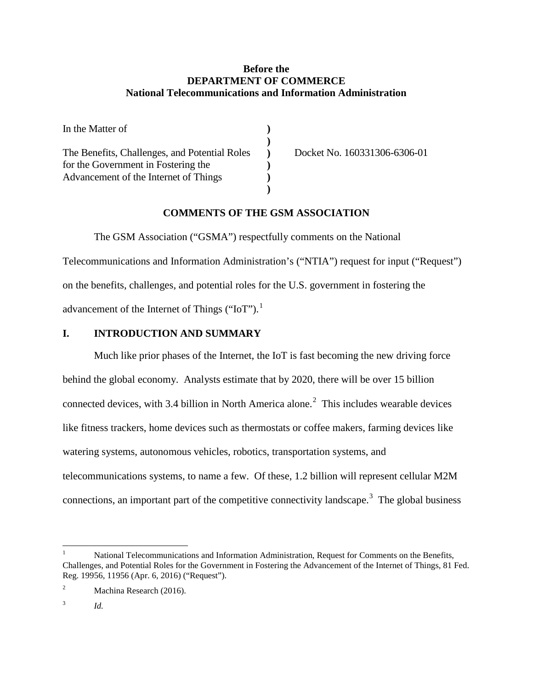# **Before the DEPARTMENT OF COMMERCE National Telecommunications and Information Administration**

| In the Matter of                              |                              |
|-----------------------------------------------|------------------------------|
|                                               |                              |
| The Benefits, Challenges, and Potential Roles | Docket No. 160331306-6306-01 |
| for the Government in Fostering the           |                              |
| Advancement of the Internet of Things         |                              |
|                                               |                              |

# **COMMENTS OF THE GSM ASSOCIATION**

The GSM Association ("GSMA") respectfully comments on the National Telecommunications and Information Administration's ("NTIA") request for input ("Request") on the benefits, challenges, and potential roles for the U.S. government in fostering the advancement of the Internet of Things ("IoT").<sup>[1](#page-0-0)</sup>

# **I. INTRODUCTION AND SUMMARY**

Much like prior phases of the Internet, the IoT is fast becoming the new driving force behind the global economy. Analysts estimate that by 2020, there will be over 15 billion connected devices, with 3.4 billion in North America alone.<sup>[2](#page-0-1)</sup> This includes wearable devices like fitness trackers, home devices such as thermostats or coffee makers, farming devices like watering systems, autonomous vehicles, robotics, transportation systems, and telecommunications systems, to name a few. Of these, 1.2 billion will represent cellular M2M connections, an important part of the competitive connectivity landscape.<sup>[3](#page-0-2)</sup> The global business

<span id="page-0-0"></span> <sup>1</sup> National Telecommunications and Information Administration, Request for Comments on the Benefits, Challenges, and Potential Roles for the Government in Fostering the Advancement of the Internet of Things, 81 Fed. Reg. 19956, 11956 (Apr. 6, 2016) ("Request").

<span id="page-0-1"></span><sup>&</sup>lt;sup>2</sup> Machina Research (2016).

<span id="page-0-2"></span><sup>3</sup> *Id.*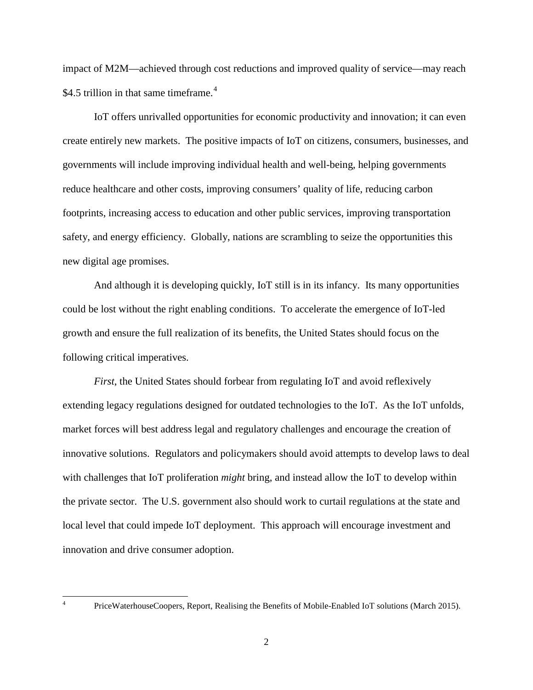impact of M2M—achieved through cost reductions and improved quality of service—may reach \$[4](#page-1-0).5 trillion in that same timeframe.<sup>4</sup>

IoT offers unrivalled opportunities for economic productivity and innovation; it can even create entirely new markets. The positive impacts of IoT on citizens, consumers, businesses, and governments will include improving individual health and well-being, helping governments reduce healthcare and other costs, improving consumers' quality of life, reducing carbon footprints, increasing access to education and other public services, improving transportation safety, and energy efficiency. Globally, nations are scrambling to seize the opportunities this new digital age promises.

And although it is developing quickly, IoT still is in its infancy. Its many opportunities could be lost without the right enabling conditions. To accelerate the emergence of IoT-led growth and ensure the full realization of its benefits, the United States should focus on the following critical imperatives.

*First*, the United States should forbear from regulating IoT and avoid reflexively extending legacy regulations designed for outdated technologies to the IoT. As the IoT unfolds, market forces will best address legal and regulatory challenges and encourage the creation of innovative solutions. Regulators and policymakers should avoid attempts to develop laws to deal with challenges that IoT proliferation *might* bring, and instead allow the IoT to develop within the private sector. The U.S. government also should work to curtail regulations at the state and local level that could impede IoT deployment. This approach will encourage investment and innovation and drive consumer adoption.

<span id="page-1-0"></span>

 <sup>4</sup> PriceWaterhouseCoopers, Report, Realising the Benefits of Mobile-Enabled IoT solutions (March 2015).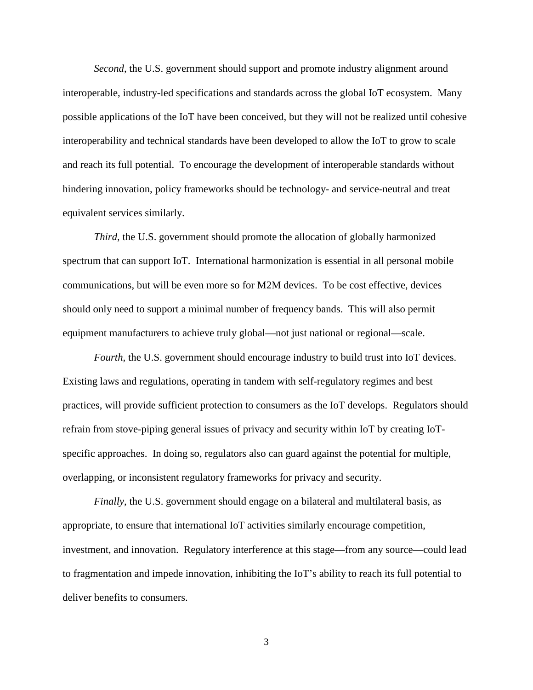*Second*, the U.S. government should support and promote industry alignment around interoperable, industry-led specifications and standards across the global IoT ecosystem. Many possible applications of the IoT have been conceived, but they will not be realized until cohesive interoperability and technical standards have been developed to allow the IoT to grow to scale and reach its full potential. To encourage the development of interoperable standards without hindering innovation, policy frameworks should be technology- and service-neutral and treat equivalent services similarly.

*Third*, the U.S. government should promote the allocation of globally harmonized spectrum that can support IoT. International harmonization is essential in all personal mobile communications, but will be even more so for M2M devices. To be cost effective, devices should only need to support a minimal number of frequency bands. This will also permit equipment manufacturers to achieve truly global—not just national or regional—scale.

*Fourth*, the U.S. government should encourage industry to build trust into IoT devices. Existing laws and regulations, operating in tandem with self-regulatory regimes and best practices, will provide sufficient protection to consumers as the IoT develops. Regulators should refrain from stove-piping general issues of privacy and security within IoT by creating IoTspecific approaches. In doing so, regulators also can guard against the potential for multiple, overlapping, or inconsistent regulatory frameworks for privacy and security.

*Finally*, the U.S. government should engage on a bilateral and multilateral basis, as appropriate, to ensure that international IoT activities similarly encourage competition, investment, and innovation. Regulatory interference at this stage—from any source—could lead to fragmentation and impede innovation, inhibiting the IoT's ability to reach its full potential to deliver benefits to consumers.

3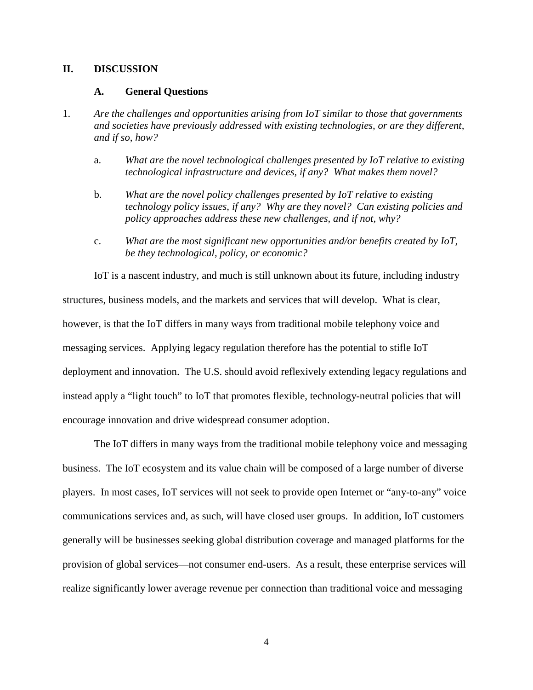### **II. DISCUSSION**

#### **A. General Questions**

- 1. *Are the challenges and opportunities arising from IoT similar to those that governments and societies have previously addressed with existing technologies, or are they different, and if so, how?*
	- a. *What are the novel technological challenges presented by IoT relative to existing technological infrastructure and devices, if any? What makes them novel?*
	- b. *What are the novel policy challenges presented by IoT relative to existing technology policy issues, if any? Why are they novel? Can existing policies and policy approaches address these new challenges, and if not, why?*
	- c. *What are the most significant new opportunities and/or benefits created by IoT, be they technological, policy, or economic?*

IoT is a nascent industry, and much is still unknown about its future, including industry structures, business models, and the markets and services that will develop. What is clear, however, is that the IoT differs in many ways from traditional mobile telephony voice and messaging services. Applying legacy regulation therefore has the potential to stifle IoT deployment and innovation. The U.S. should avoid reflexively extending legacy regulations and instead apply a "light touch" to IoT that promotes flexible, technology-neutral policies that will encourage innovation and drive widespread consumer adoption.

The IoT differs in many ways from the traditional mobile telephony voice and messaging business. The IoT ecosystem and its value chain will be composed of a large number of diverse players. In most cases, IoT services will not seek to provide open Internet or "any-to-any" voice communications services and, as such, will have closed user groups. In addition, IoT customers generally will be businesses seeking global distribution coverage and managed platforms for the provision of global services—not consumer end-users. As a result, these enterprise services will realize significantly lower average revenue per connection than traditional voice and messaging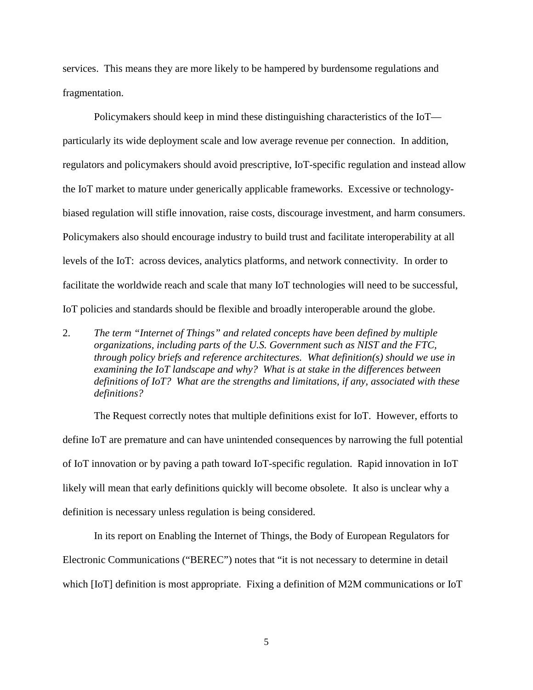services. This means they are more likely to be hampered by burdensome regulations and fragmentation.

Policymakers should keep in mind these distinguishing characteristics of the IoT particularly its wide deployment scale and low average revenue per connection. In addition, regulators and policymakers should avoid prescriptive, IoT-specific regulation and instead allow the IoT market to mature under generically applicable frameworks. Excessive or technologybiased regulation will stifle innovation, raise costs, discourage investment, and harm consumers. Policymakers also should encourage industry to build trust and facilitate interoperability at all levels of the IoT: across devices, analytics platforms, and network connectivity. In order to facilitate the worldwide reach and scale that many IoT technologies will need to be successful, IoT policies and standards should be flexible and broadly interoperable around the globe.

2. *The term "Internet of Things" and related concepts have been defined by multiple organizations, including parts of the U.S. Government such as NIST and the FTC, through policy briefs and reference architectures. What definition(s) should we use in examining the IoT landscape and why? What is at stake in the differences between definitions of IoT? What are the strengths and limitations, if any, associated with these definitions?*

The Request correctly notes that multiple definitions exist for IoT. However, efforts to define IoT are premature and can have unintended consequences by narrowing the full potential of IoT innovation or by paving a path toward IoT-specific regulation. Rapid innovation in IoT likely will mean that early definitions quickly will become obsolete. It also is unclear why a definition is necessary unless regulation is being considered.

In its report on Enabling the Internet of Things, the Body of European Regulators for Electronic Communications ("BEREC") notes that "it is not necessary to determine in detail which [IoT] definition is most appropriate. Fixing a definition of M2M communications or IoT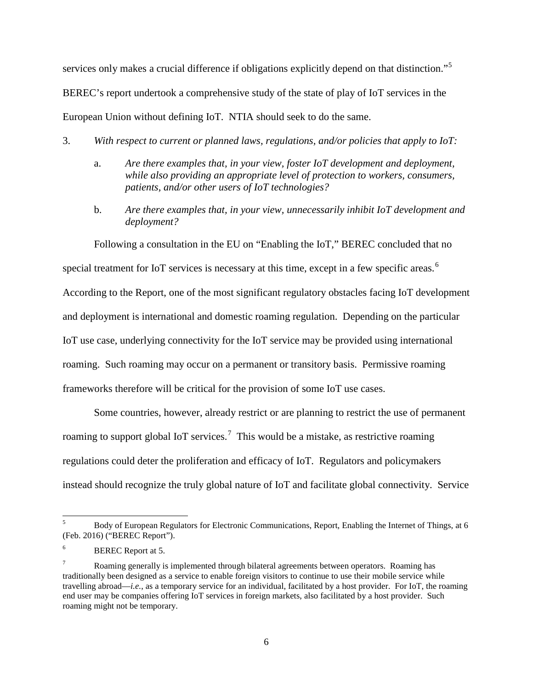services only makes a crucial difference if obligations explicitly depend on that distinction."<sup>[5](#page-5-0)</sup> BEREC's report undertook a comprehensive study of the state of play of IoT services in the European Union without defining IoT. NTIA should seek to do the same.

- 3. *With respect to current or planned laws, regulations, and/or policies that apply to IoT:*
	- a. *Are there examples that, in your view, foster IoT development and deployment, while also providing an appropriate level of protection to workers, consumers, patients, and/or other users of IoT technologies?*
	- b. *Are there examples that, in your view, unnecessarily inhibit IoT development and deployment?*

Following a consultation in the EU on "Enabling the IoT," BEREC concluded that no special treatment for IoT services is necessary at this time, except in a few specific areas.<sup>[6](#page-5-1)</sup> According to the Report, one of the most significant regulatory obstacles facing IoT development and deployment is international and domestic roaming regulation. Depending on the particular IoT use case, underlying connectivity for the IoT service may be provided using international roaming. Such roaming may occur on a permanent or transitory basis. Permissive roaming frameworks therefore will be critical for the provision of some IoT use cases.

Some countries, however, already restrict or are planning to restrict the use of permanent roaming to support global IoT services.<sup>[7](#page-5-2)</sup> This would be a mistake, as restrictive roaming regulations could deter the proliferation and efficacy of IoT. Regulators and policymakers instead should recognize the truly global nature of IoT and facilitate global connectivity. Service

<span id="page-5-0"></span><sup>&</sup>lt;sup>5</sup> Body of European Regulators for Electronic Communications, Report, Enabling the Internet of Things, at 6 (Feb. 2016) ("BEREC Report").

<span id="page-5-1"></span>BEREC Report at 5.

<span id="page-5-2"></span><sup>7</sup> Roaming generally is implemented through bilateral agreements between operators. Roaming has traditionally been designed as a service to enable foreign visitors to continue to use their mobile service while travelling abroad—*i.e.*, as a temporary service for an individual, facilitated by a host provider. For IoT, the roaming end user may be companies offering IoT services in foreign markets, also facilitated by a host provider. Such roaming might not be temporary.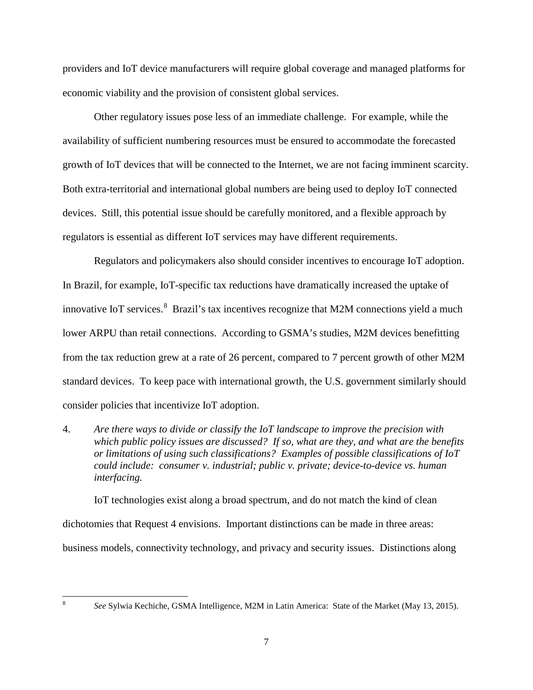providers and IoT device manufacturers will require global coverage and managed platforms for economic viability and the provision of consistent global services.

Other regulatory issues pose less of an immediate challenge. For example, while the availability of sufficient numbering resources must be ensured to accommodate the forecasted growth of IoT devices that will be connected to the Internet, we are not facing imminent scarcity. Both extra-territorial and international global numbers are being used to deploy IoT connected devices. Still, this potential issue should be carefully monitored, and a flexible approach by regulators is essential as different IoT services may have different requirements.

Regulators and policymakers also should consider incentives to encourage IoT adoption. In Brazil, for example, IoT-specific tax reductions have dramatically increased the uptake of innovative IoT services.<sup>[8](#page-6-0)</sup> Brazil's tax incentives recognize that M2M connections yield a much lower ARPU than retail connections. According to GSMA's studies, M2M devices benefitting from the tax reduction grew at a rate of 26 percent, compared to 7 percent growth of other M2M standard devices. To keep pace with international growth, the U.S. government similarly should consider policies that incentivize IoT adoption.

4. *Are there ways to divide or classify the IoT landscape to improve the precision with which public policy issues are discussed? If so, what are they, and what are the benefits or limitations of using such classifications? Examples of possible classifications of IoT could include: consumer v. industrial; public v. private; device-to-device vs. human interfacing.*

IoT technologies exist along a broad spectrum, and do not match the kind of clean dichotomies that Request 4 envisions. Important distinctions can be made in three areas: business models, connectivity technology, and privacy and security issues. Distinctions along

<span id="page-6-0"></span>

 <sup>8</sup> *See* Sylwia Kechiche, GSMA Intelligence, M2M in Latin America: State of the Market (May 13, 2015).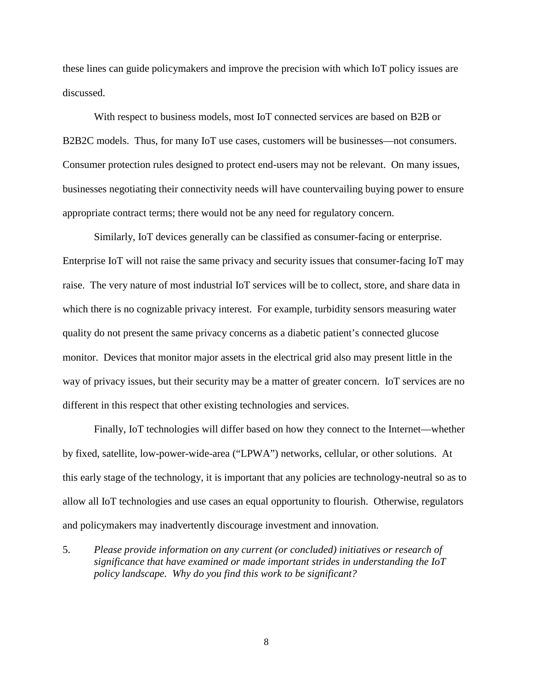these lines can guide policymakers and improve the precision with which IoT policy issues are discussed.

With respect to business models, most IoT connected services are based on B2B or B2B2C models. Thus, for many IoT use cases, customers will be businesses—not consumers. Consumer protection rules designed to protect end-users may not be relevant. On many issues, businesses negotiating their connectivity needs will have countervailing buying power to ensure appropriate contract terms; there would not be any need for regulatory concern.

Similarly, IoT devices generally can be classified as consumer-facing or enterprise. Enterprise IoT will not raise the same privacy and security issues that consumer-facing IoT may raise. The very nature of most industrial IoT services will be to collect, store, and share data in which there is no cognizable privacy interest. For example, turbidity sensors measuring water quality do not present the same privacy concerns as a diabetic patient's connected glucose monitor. Devices that monitor major assets in the electrical grid also may present little in the way of privacy issues, but their security may be a matter of greater concern. IoT services are no different in this respect that other existing technologies and services.

Finally, IoT technologies will differ based on how they connect to the Internet—whether by fixed, satellite, low-power-wide-area ("LPWA") networks, cellular, or other solutions. At this early stage of the technology, it is important that any policies are technology-neutral so as to allow all IoT technologies and use cases an equal opportunity to flourish. Otherwise, regulators and policymakers may inadvertently discourage investment and innovation.

5. *Please provide information on any current (or concluded) initiatives or research of significance that have examined or made important strides in understanding the IoT policy landscape. Why do you find this work to be significant?*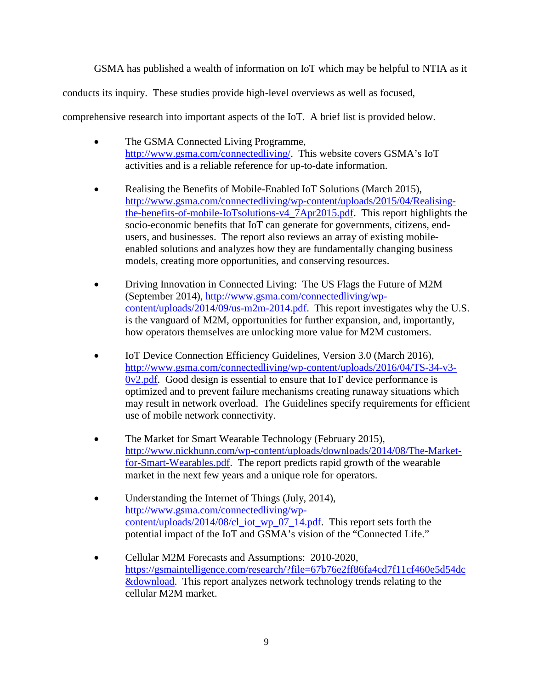GSMA has published a wealth of information on IoT which may be helpful to NTIA as it

conducts its inquiry. These studies provide high-level overviews as well as focused,

comprehensive research into important aspects of the IoT. A brief list is provided below.

- The GSMA Connected Living Programme, http://www.gsma.com/connectedliving/. This website covers GSMA's IoT activities and is a reliable reference for up-to-date information.
- Realising the Benefits of Mobile-Enabled IoT Solutions (March 2015), http://www.gsma.com/connectedliving/wp-content/uploads/2015/04/Realisingthe-benefits-of-mobile-IoTsolutions-v4\_7Apr2015.pdf. This report highlights the socio-economic benefits that IoT can generate for governments, citizens, endusers, and businesses. The report also reviews an array of existing mobileenabled solutions and analyzes how they are fundamentally changing business models, creating more opportunities, and conserving resources.
- Driving Innovation in Connected Living: The US Flags the Future of M2M (September 2014), http://www.gsma.com/connectedliving/wpcontent/uploads/2014/09/us-m2m-2014.pdf. This report investigates why the U.S. is the vanguard of M2M, opportunities for further expansion, and, importantly, how operators themselves are unlocking more value for M2M customers.
- IoT Device Connection Efficiency Guidelines, Version 3.0 (March 2016), http://www.gsma.com/connectedliving/wp-content/uploads/2016/04/TS-34-v3- 0v2.pdf. Good design is essential to ensure that IoT device performance is optimized and to prevent failure mechanisms creating runaway situations which may result in network overload. The Guidelines specify requirements for efficient use of mobile network connectivity.
- The Market for Smart Wearable Technology (February 2015), http://www.nickhunn.com/wp-content/uploads/downloads/2014/08/The-Marketfor-Smart-Wearables.pdf. The report predicts rapid growth of the wearable market in the next few years and a unique role for operators.
- Understanding the Internet of Things (July, 2014), http://www.gsma.com/connectedliving/wpcontent/uploads/2014/08/cl\_iot\_wp\_07\_14.pdf. This report sets forth the potential impact of the IoT and GSMA's vision of the "Connected Life."
- Cellular M2M Forecasts and Assumptions: 2010-2020, https://gsmaintelligence.com/research/?file=67b76e2ff86fa4cd7f11cf460e5d54dc &download. This report analyzes network technology trends relating to the cellular M2M market.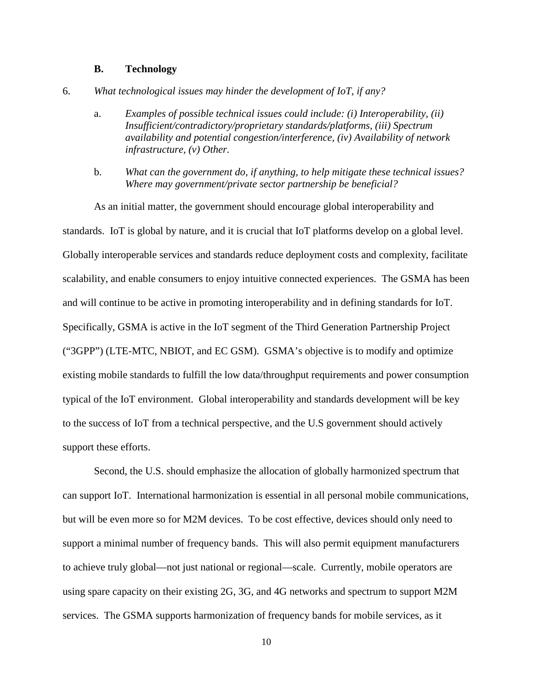#### **B. Technology**

- 6. *What technological issues may hinder the development of IoT, if any?*
	- a. *Examples of possible technical issues could include: (i) Interoperability, (ii) Insufficient/contradictory/proprietary standards/platforms, (iii) Spectrum availability and potential congestion/interference, (iv) Availability of network infrastructure, (v) Other.*
	- b. *What can the government do, if anything, to help mitigate these technical issues? Where may government/private sector partnership be beneficial?*

As an initial matter, the government should encourage global interoperability and standards. IoT is global by nature, and it is crucial that IoT platforms develop on a global level. Globally interoperable services and standards reduce deployment costs and complexity, facilitate scalability, and enable consumers to enjoy intuitive connected experiences. The GSMA has been and will continue to be active in promoting interoperability and in defining standards for IoT. Specifically, GSMA is active in the IoT segment of the Third Generation Partnership Project ("3GPP") (LTE-MTC, NBIOT, and EC GSM). GSMA's objective is to modify and optimize existing mobile standards to fulfill the low data/throughput requirements and power consumption typical of the IoT environment. Global interoperability and standards development will be key to the success of IoT from a technical perspective, and the U.S government should actively support these efforts.

Second, the U.S. should emphasize the allocation of globally harmonized spectrum that can support IoT. International harmonization is essential in all personal mobile communications, but will be even more so for M2M devices. To be cost effective, devices should only need to support a minimal number of frequency bands. This will also permit equipment manufacturers to achieve truly global—not just national or regional—scale. Currently, mobile operators are using spare capacity on their existing 2G, 3G, and 4G networks and spectrum to support M2M services. The GSMA supports harmonization of frequency bands for mobile services, as it

10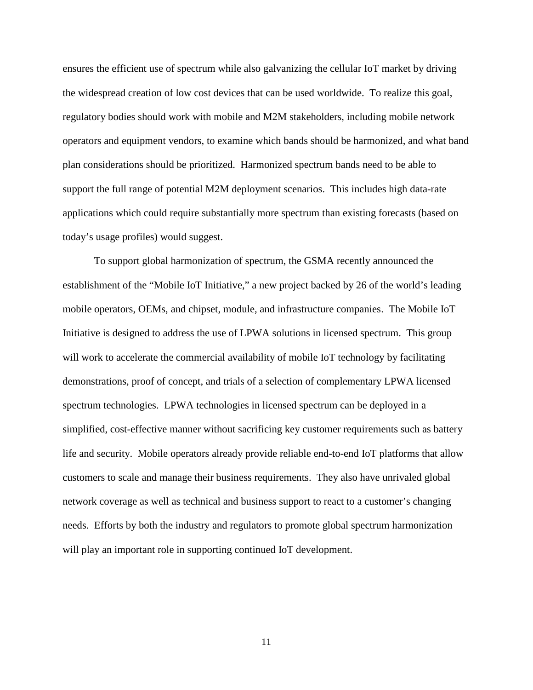ensures the efficient use of spectrum while also galvanizing the cellular IoT market by driving the widespread creation of low cost devices that can be used worldwide. To realize this goal, regulatory bodies should work with mobile and M2M stakeholders, including mobile network operators and equipment vendors, to examine which bands should be harmonized, and what band plan considerations should be prioritized. Harmonized spectrum bands need to be able to support the full range of potential M2M deployment scenarios. This includes high data-rate applications which could require substantially more spectrum than existing forecasts (based on today's usage profiles) would suggest.

To support global harmonization of spectrum, the GSMA recently announced the establishment of the "Mobile IoT Initiative," a new project backed by 26 of the world's leading mobile operators, OEMs, and chipset, module, and infrastructure companies. The Mobile IoT Initiative is designed to address the use of LPWA solutions in licensed spectrum. This group will work to accelerate the commercial availability of mobile IoT technology by facilitating demonstrations, proof of concept, and trials of a selection of complementary LPWA licensed spectrum technologies. LPWA technologies in licensed spectrum can be deployed in a simplified, cost-effective manner without sacrificing key customer requirements such as battery life and security. Mobile operators already provide reliable end-to-end IoT platforms that allow customers to scale and manage their business requirements. They also have unrivaled global network coverage as well as technical and business support to react to a customer's changing needs. Efforts by both the industry and regulators to promote global spectrum harmonization will play an important role in supporting continued IoT development.

11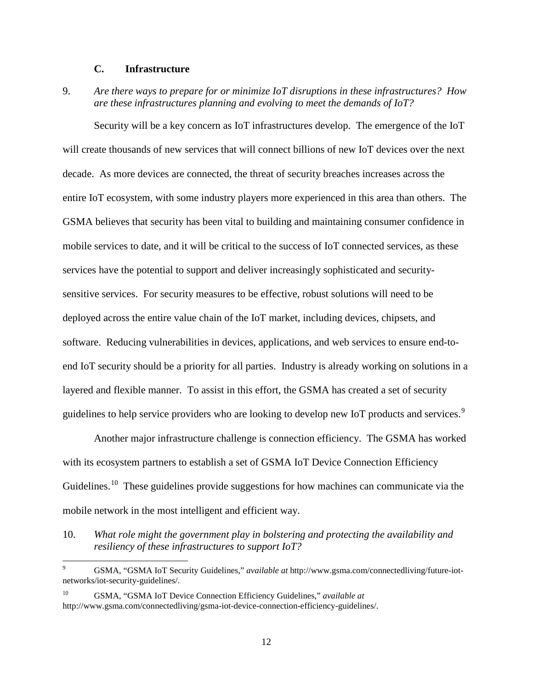### **C. Infrastructure**

9. *Are there ways to prepare for or minimize IoT disruptions in these infrastructures? How are these infrastructures planning and evolving to meet the demands of IoT?*

Security will be a key concern as IoT infrastructures develop. The emergence of the IoT will create thousands of new services that will connect billions of new IoT devices over the next decade. As more devices are connected, the threat of security breaches increases across the entire IoT ecosystem, with some industry players more experienced in this area than others. The GSMA believes that security has been vital to building and maintaining consumer confidence in mobile services to date, and it will be critical to the success of IoT connected services, as these services have the potential to support and deliver increasingly sophisticated and securitysensitive services. For security measures to be effective, robust solutions will need to be deployed across the entire value chain of the IoT market, including devices, chipsets, and software. Reducing vulnerabilities in devices, applications, and web services to ensure end-toend IoT security should be a priority for all parties. Industry is already working on solutions in a layered and flexible manner. To assist in this effort, the GSMA has created a set of security guidelines to help service providers who are looking to develop new IoT products and services.<sup>[9](#page-11-0)</sup>

Another major infrastructure challenge is connection efficiency. The GSMA has worked with its ecosystem partners to establish a set of GSMA IoT Device Connection Efficiency Guidelines.<sup>10</sup> These guidelines provide suggestions for how machines can communicate via the mobile network in the most intelligent and efficient way.

10. *What role might the government play in bolstering and protecting the availability and resiliency of these infrastructures to support IoT?*

<span id="page-11-0"></span> <sup>9</sup> GSMA, "GSMA IoT Security Guidelines," *available at* http://www.gsma.com/connectedliving/future-iotnetworks/iot-security-guidelines/.

<span id="page-11-1"></span><sup>10</sup> GSMA, "GSMA IoT Device Connection Efficiency Guidelines," *available at*  http://www.gsma.com/connectedliving/gsma-iot-device-connection-efficiency-guidelines/.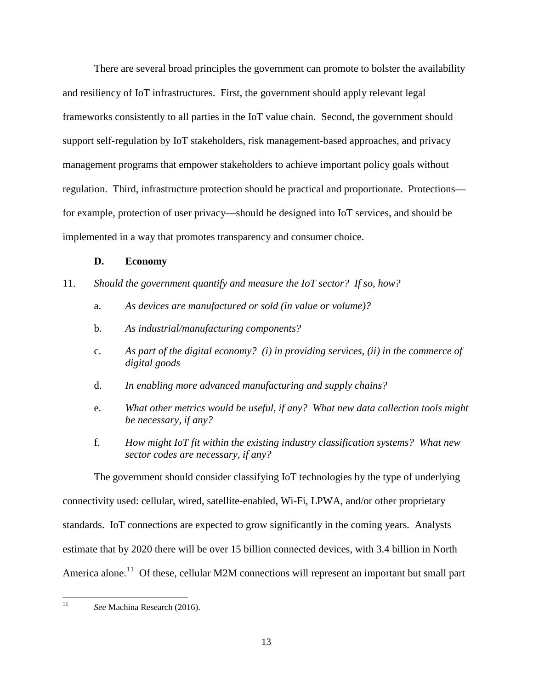There are several broad principles the government can promote to bolster the availability and resiliency of IoT infrastructures. First, the government should apply relevant legal frameworks consistently to all parties in the IoT value chain. Second, the government should support self-regulation by IoT stakeholders, risk management-based approaches, and privacy management programs that empower stakeholders to achieve important policy goals without regulation. Third, infrastructure protection should be practical and proportionate. Protections for example, protection of user privacy—should be designed into IoT services, and should be implemented in a way that promotes transparency and consumer choice.

### **D. Economy**

### 11. *Should the government quantify and measure the IoT sector? If so, how?*

- a. *As devices are manufactured or sold (in value or volume)?*
- b. *As industrial/manufacturing components?*
- c. *As part of the digital economy? (i) in providing services, (ii) in the commerce of digital goods*
- d. *In enabling more advanced manufacturing and supply chains?*
- e. *What other metrics would be useful, if any? What new data collection tools might be necessary, if any?*
- f. *How might IoT fit within the existing industry classification systems? What new sector codes are necessary, if any?*

The government should consider classifying IoT technologies by the type of underlying connectivity used: cellular, wired, satellite-enabled, Wi-Fi, LPWA, and/or other proprietary standards. IoT connections are expected to grow significantly in the coming years. Analysts estimate that by 2020 there will be over 15 billion connected devices, with 3.4 billion in North America alone.<sup>11</sup> Of these, cellular M2M connections will represent an important but small part

<span id="page-12-0"></span>11 *See* Machina Research (2016).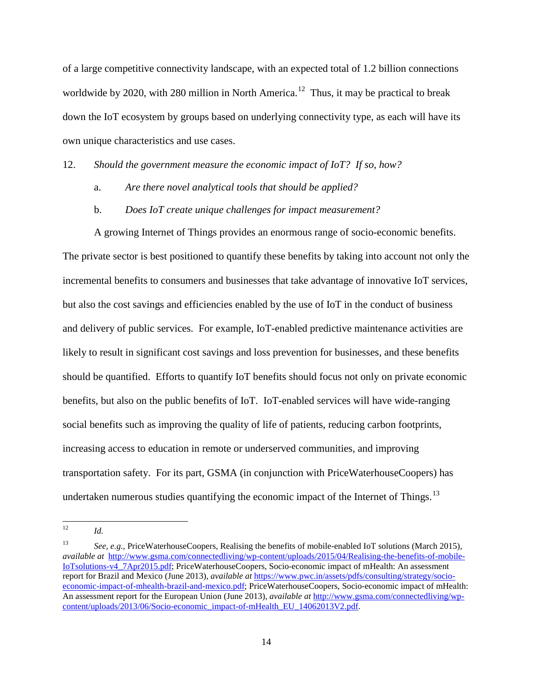of a large competitive connectivity landscape, with an expected total of 1.2 billion connections worldwide by 2020, with 280 million in North America.<sup>12</sup> Thus, it may be practical to break down the IoT ecosystem by groups based on underlying connectivity type, as each will have its own unique characteristics and use cases.

12. *Should the government measure the economic impact of IoT? If so, how?*

- a. *Are there novel analytical tools that should be applied?*
- b. *Does IoT create unique challenges for impact measurement?*

A growing Internet of Things provides an enormous range of socio-economic benefits. The private sector is best positioned to quantify these benefits by taking into account not only the incremental benefits to consumers and businesses that take advantage of innovative IoT services, but also the cost savings and efficiencies enabled by the use of IoT in the conduct of business and delivery of public services. For example, IoT-enabled predictive maintenance activities are likely to result in significant cost savings and loss prevention for businesses, and these benefits should be quantified. Efforts to quantify IoT benefits should focus not only on private economic benefits, but also on the public benefits of IoT. IoT-enabled services will have wide-ranging social benefits such as improving the quality of life of patients, reducing carbon footprints, increasing access to education in remote or underserved communities, and improving transportation safety. For its part, GSMA (in conjunction with PriceWaterhouseCoopers) has undertaken numerous studies quantifying the economic impact of the Internet of Things.<sup>[13](#page-13-1)</sup>

<span id="page-13-0"></span> $12$  *Id.* 

<span id="page-13-1"></span><sup>13</sup> *See, e.g.,* PriceWaterhouseCoopers, Realising the benefits of mobile-enabled IoT solutions (March 2015), *available at* http://www.gsma.com/connectedliving/wp-content/uploads/2015/04/Realising-the-benefits-of-mobile-IoTsolutions-v4\_7Apr2015.pdf; PriceWaterhouseCoopers, Socio-economic impact of mHealth: An assessment report for Brazil and Mexico (June 2013), *available at* https://www.pwc.in/assets/pdfs/consulting/strategy/socioeconomic-impact-of-mhealth-brazil-and-mexico.pdf; PriceWaterhouseCoopers, Socio-economic impact of mHealth: An assessment report for the European Union (June 2013), *available at* http://www.gsma.com/connectedliving/wpcontent/uploads/2013/06/Socio-economic\_impact-of-mHealth\_EU\_14062013V2.pdf.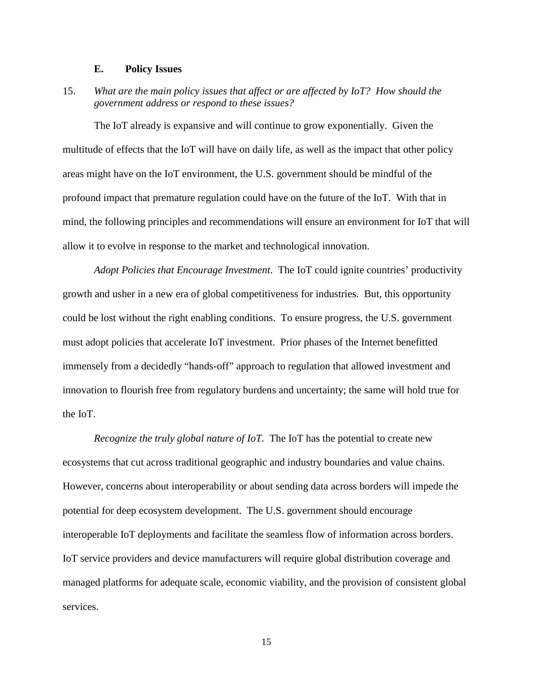#### **E. Policy Issues**

15. *What are the main policy issues that affect or are affected by IoT? How should the government address or respond to these issues?*

The IoT already is expansive and will continue to grow exponentially. Given the multitude of effects that the IoT will have on daily life, as well as the impact that other policy areas might have on the IoT environment, the U.S. government should be mindful of the profound impact that premature regulation could have on the future of the IoT. With that in mind, the following principles and recommendations will ensure an environment for IoT that will allow it to evolve in response to the market and technological innovation.

*Adopt Policies that Encourage Investment*. The IoT could ignite countries' productivity growth and usher in a new era of global competitiveness for industries. But, this opportunity could be lost without the right enabling conditions. To ensure progress, the U.S. government must adopt policies that accelerate IoT investment. Prior phases of the Internet benefitted immensely from a decidedly "hands-off" approach to regulation that allowed investment and innovation to flourish free from regulatory burdens and uncertainty; the same will hold true for the IoT.

*Recognize the truly global nature of IoT*. The IoT has the potential to create new ecosystems that cut across traditional geographic and industry boundaries and value chains. However, concerns about interoperability or about sending data across borders will impede the potential for deep ecosystem development. The U.S. government should encourage interoperable IoT deployments and facilitate the seamless flow of information across borders. IoT service providers and device manufacturers will require global distribution coverage and managed platforms for adequate scale, economic viability, and the provision of consistent global services.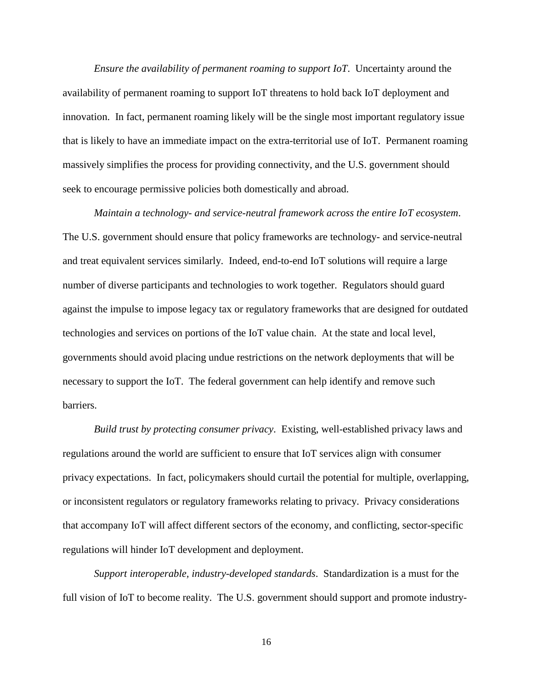*Ensure the availability of permanent roaming to support IoT*. Uncertainty around the availability of permanent roaming to support IoT threatens to hold back IoT deployment and innovation. In fact, permanent roaming likely will be the single most important regulatory issue that is likely to have an immediate impact on the extra-territorial use of IoT. Permanent roaming massively simplifies the process for providing connectivity, and the U.S. government should seek to encourage permissive policies both domestically and abroad.

*Maintain a technology- and service-neutral framework across the entire IoT ecosystem*. The U.S. government should ensure that policy frameworks are technology- and service-neutral and treat equivalent services similarly. Indeed, end-to-end IoT solutions will require a large number of diverse participants and technologies to work together. Regulators should guard against the impulse to impose legacy tax or regulatory frameworks that are designed for outdated technologies and services on portions of the IoT value chain. At the state and local level, governments should avoid placing undue restrictions on the network deployments that will be necessary to support the IoT. The federal government can help identify and remove such barriers.

*Build trust by protecting consumer privacy*. Existing, well-established privacy laws and regulations around the world are sufficient to ensure that IoT services align with consumer privacy expectations. In fact, policymakers should curtail the potential for multiple, overlapping, or inconsistent regulators or regulatory frameworks relating to privacy. Privacy considerations that accompany IoT will affect different sectors of the economy, and conflicting, sector-specific regulations will hinder IoT development and deployment.

*Support interoperable, industry-developed standards*. Standardization is a must for the full vision of IoT to become reality. The U.S. government should support and promote industry-

16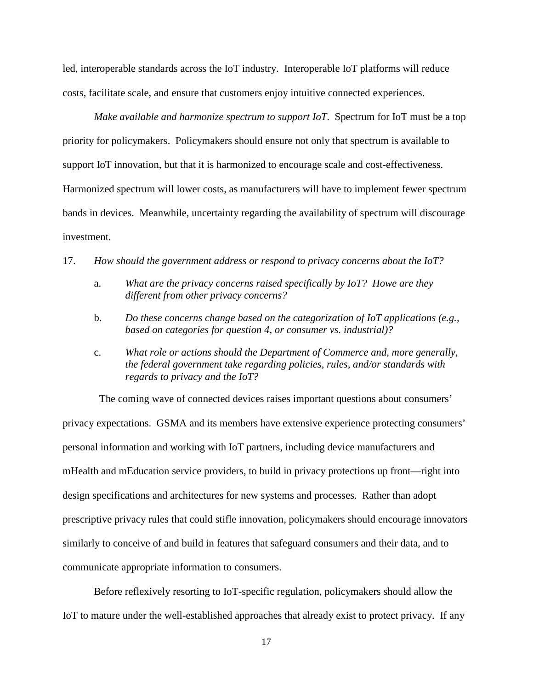led, interoperable standards across the IoT industry. Interoperable IoT platforms will reduce costs, facilitate scale, and ensure that customers enjoy intuitive connected experiences.

*Make available and harmonize spectrum to support IoT*. Spectrum for IoT must be a top priority for policymakers. Policymakers should ensure not only that spectrum is available to support IoT innovation, but that it is harmonized to encourage scale and cost-effectiveness. Harmonized spectrum will lower costs, as manufacturers will have to implement fewer spectrum bands in devices. Meanwhile, uncertainty regarding the availability of spectrum will discourage investment.

#### 17. *How should the government address or respond to privacy concerns about the IoT?*

- a. *What are the privacy concerns raised specifically by IoT? Howe are they different from other privacy concerns?*
- b. *Do these concerns change based on the categorization of IoT applications (e.g., based on categories for question 4, or consumer vs. industrial)?*
- c. *What role or actions should the Department of Commerce and, more generally, the federal government take regarding policies, rules, and/or standards with regards to privacy and the IoT?*

The coming wave of connected devices raises important questions about consumers'

privacy expectations. GSMA and its members have extensive experience protecting consumers' personal information and working with IoT partners, including device manufacturers and mHealth and mEducation service providers, to build in privacy protections up front—right into design specifications and architectures for new systems and processes. Rather than adopt prescriptive privacy rules that could stifle innovation, policymakers should encourage innovators similarly to conceive of and build in features that safeguard consumers and their data, and to communicate appropriate information to consumers.

Before reflexively resorting to IoT-specific regulation, policymakers should allow the IoT to mature under the well-established approaches that already exist to protect privacy. If any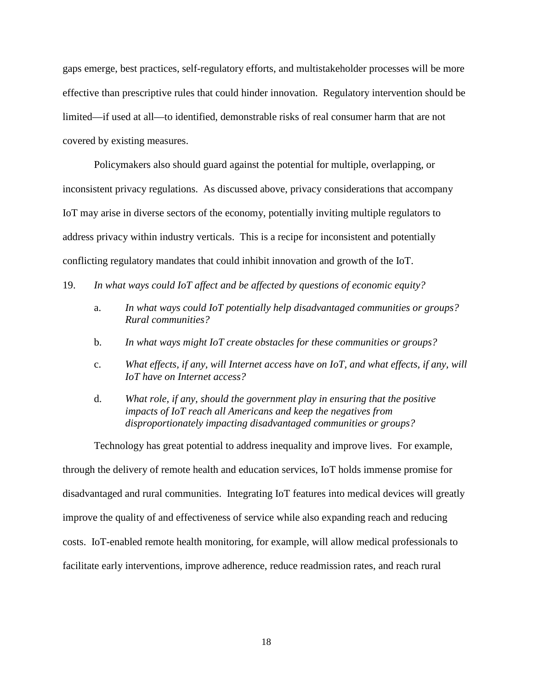gaps emerge, best practices, self-regulatory efforts, and multistakeholder processes will be more effective than prescriptive rules that could hinder innovation. Regulatory intervention should be limited—if used at all—to identified, demonstrable risks of real consumer harm that are not covered by existing measures.

Policymakers also should guard against the potential for multiple, overlapping, or inconsistent privacy regulations. As discussed above, privacy considerations that accompany IoT may arise in diverse sectors of the economy, potentially inviting multiple regulators to address privacy within industry verticals. This is a recipe for inconsistent and potentially conflicting regulatory mandates that could inhibit innovation and growth of the IoT.

- 19. *In what ways could IoT affect and be affected by questions of economic equity?*
	- a. *In what ways could IoT potentially help disadvantaged communities or groups? Rural communities?*
	- b. *In what ways might IoT create obstacles for these communities or groups?*
	- c. *What effects, if any, will Internet access have on IoT, and what effects, if any, will IoT have on Internet access?*
	- d. *What role, if any, should the government play in ensuring that the positive impacts of IoT reach all Americans and keep the negatives from disproportionately impacting disadvantaged communities or groups?*

Technology has great potential to address inequality and improve lives. For example, through the delivery of remote health and education services, IoT holds immense promise for disadvantaged and rural communities. Integrating IoT features into medical devices will greatly improve the quality of and effectiveness of service while also expanding reach and reducing costs. IoT-enabled remote health monitoring, for example, will allow medical professionals to facilitate early interventions, improve adherence, reduce readmission rates, and reach rural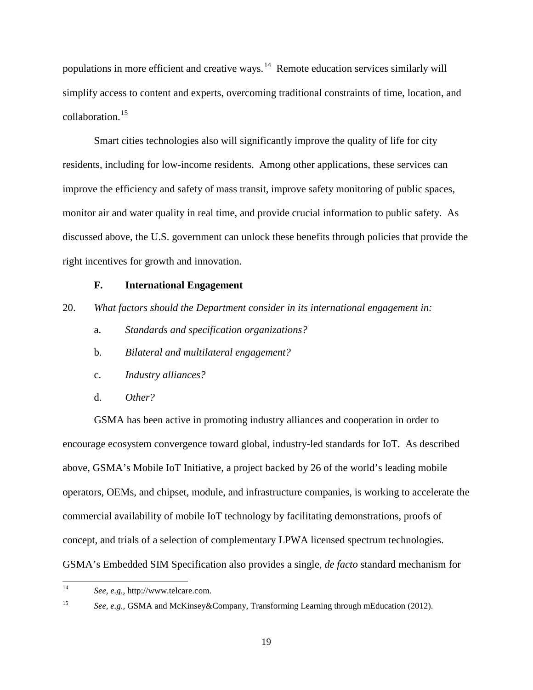populations in more efficient and creative ways.<sup>14</sup> Remote education services similarly will simplify access to content and experts, overcoming traditional constraints of time, location, and collaboration.[15](#page-18-1)

Smart cities technologies also will significantly improve the quality of life for city residents, including for low-income residents. Among other applications, these services can improve the efficiency and safety of mass transit, improve safety monitoring of public spaces, monitor air and water quality in real time, and provide crucial information to public safety. As discussed above, the U.S. government can unlock these benefits through policies that provide the right incentives for growth and innovation.

### **F. International Engagement**

20. *What factors should the Department consider in its international engagement in:*

- a. *Standards and specification organizations?*
- b. *Bilateral and multilateral engagement?*
- c. *Industry alliances?*
- d. *Other?*

GSMA has been active in promoting industry alliances and cooperation in order to encourage ecosystem convergence toward global, industry-led standards for IoT. As described above, GSMA's Mobile IoT Initiative, a project backed by 26 of the world's leading mobile operators, OEMs, and chipset, module, and infrastructure companies, is working to accelerate the commercial availability of mobile IoT technology by facilitating demonstrations, proofs of concept, and trials of a selection of complementary LPWA licensed spectrum technologies. GSMA's Embedded SIM Specification also provides a single, *de facto* standard mechanism for

<span id="page-18-1"></span>

<span id="page-18-0"></span> <sup>14</sup> *See, e.g.,* http://www.telcare.com.

<sup>15</sup> *See, e.g.,* GSMA and McKinsey&Company, Transforming Learning through mEducation (2012).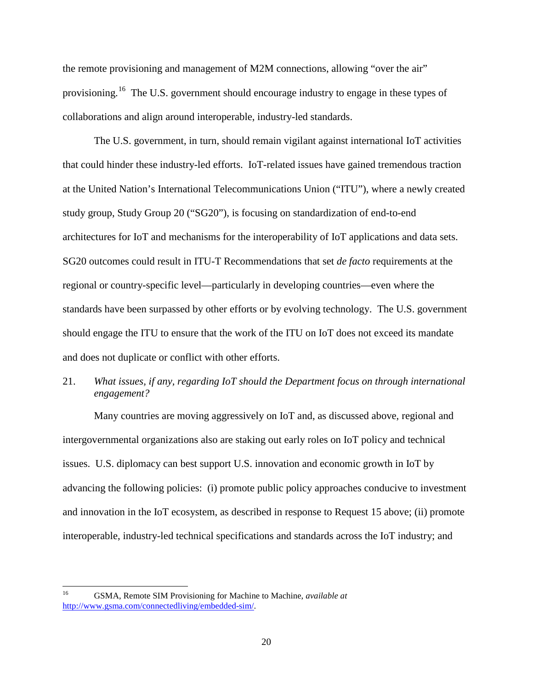the remote provisioning and management of M2M connections, allowing "over the air" provisioning.<sup>[16](#page-19-0)</sup> The U.S. government should encourage industry to engage in these types of collaborations and align around interoperable, industry-led standards.

The U.S. government, in turn, should remain vigilant against international IoT activities that could hinder these industry-led efforts. IoT-related issues have gained tremendous traction at the United Nation's International Telecommunications Union ("ITU"), where a newly created study group, Study Group 20 ("SG20"), is focusing on standardization of end-to-end architectures for IoT and mechanisms for the interoperability of IoT applications and data sets. SG20 outcomes could result in ITU-T Recommendations that set *de facto* requirements at the regional or country-specific level—particularly in developing countries—even where the standards have been surpassed by other efforts or by evolving technology. The U.S. government should engage the ITU to ensure that the work of the ITU on IoT does not exceed its mandate and does not duplicate or conflict with other efforts.

# 21. *What issues, if any, regarding IoT should the Department focus on through international engagement?*

Many countries are moving aggressively on IoT and, as discussed above, regional and intergovernmental organizations also are staking out early roles on IoT policy and technical issues. U.S. diplomacy can best support U.S. innovation and economic growth in IoT by advancing the following policies: (i) promote public policy approaches conducive to investment and innovation in the IoT ecosystem, as described in response to Request 15 above; (ii) promote interoperable, industry-led technical specifications and standards across the IoT industry; and

<span id="page-19-0"></span> <sup>16</sup> GSMA, Remote SIM Provisioning for Machine to Machine, *available at* http://www.gsma.com/connectedliving/embedded-sim/.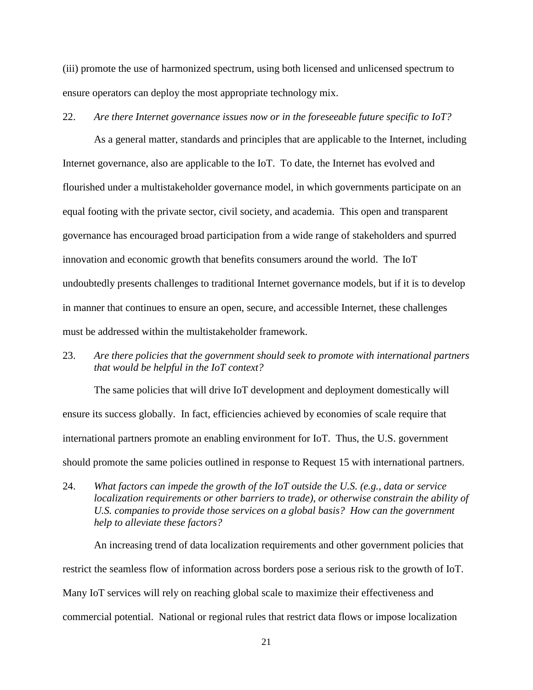(iii) promote the use of harmonized spectrum, using both licensed and unlicensed spectrum to ensure operators can deploy the most appropriate technology mix.

# 22. *Are there Internet governance issues now or in the foreseeable future specific to IoT?*

As a general matter, standards and principles that are applicable to the Internet, including Internet governance, also are applicable to the IoT. To date, the Internet has evolved and flourished under a multistakeholder governance model, in which governments participate on an equal footing with the private sector, civil society, and academia. This open and transparent governance has encouraged broad participation from a wide range of stakeholders and spurred innovation and economic growth that benefits consumers around the world. The IoT undoubtedly presents challenges to traditional Internet governance models, but if it is to develop in manner that continues to ensure an open, secure, and accessible Internet, these challenges must be addressed within the multistakeholder framework.

23. *Are there policies that the government should seek to promote with international partners that would be helpful in the IoT context?*

The same policies that will drive IoT development and deployment domestically will ensure its success globally. In fact, efficiencies achieved by economies of scale require that international partners promote an enabling environment for IoT. Thus, the U.S. government should promote the same policies outlined in response to Request 15 with international partners.

24. *What factors can impede the growth of the IoT outside the U.S. (e.g., data or service localization requirements or other barriers to trade), or otherwise constrain the ability of U.S. companies to provide those services on a global basis? How can the government help to alleviate these factors?*

An increasing trend of data localization requirements and other government policies that restrict the seamless flow of information across borders pose a serious risk to the growth of IoT. Many IoT services will rely on reaching global scale to maximize their effectiveness and commercial potential. National or regional rules that restrict data flows or impose localization